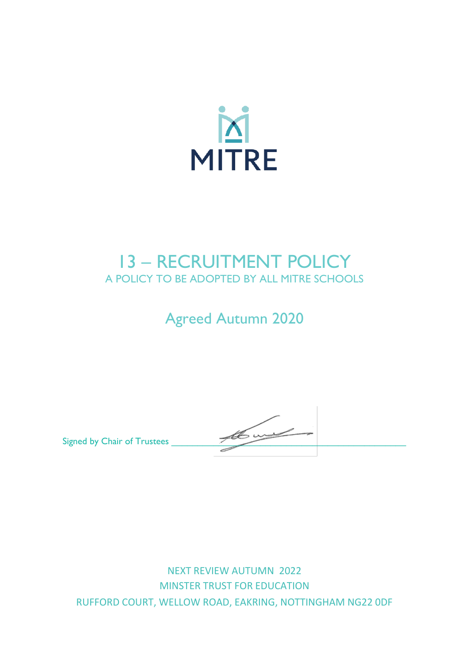

## 13 – RECRUITMENT POLICY A POLICY TO BE ADOPTED BY ALL MITRE SCHOOLS

# Agreed Autumn 2020

Signed by Chair of Trustees \_\_\_\_\_\_\_\_\_\_\_\_\_\_\_\_\_\_\_\_\_\_\_\_\_\_\_\_\_\_\_\_\_\_\_\_\_\_\_\_\_\_\_\_\_

NEXT REVIEW AUTUMN 2022 MINSTER TRUST FOR EDUCATION RUFFORD COURT, WELLOW ROAD, EAKRING, NOTTINGHAM NG22 0DF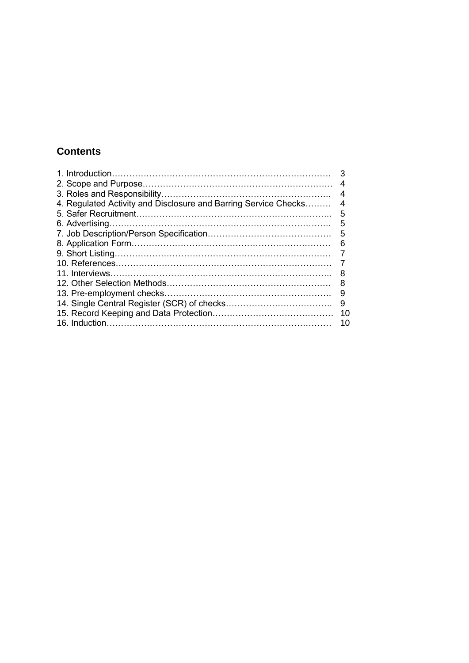## **Contents**

|                                                                 | З  |
|-----------------------------------------------------------------|----|
|                                                                 | 4  |
|                                                                 | 4  |
| 4. Regulated Activity and Disclosure and Barring Service Checks | 4  |
|                                                                 | 5  |
|                                                                 | 5  |
|                                                                 | 5  |
|                                                                 | 6  |
|                                                                 |    |
|                                                                 |    |
|                                                                 | 8  |
|                                                                 | 8  |
|                                                                 | 9  |
|                                                                 | 9  |
|                                                                 | 10 |
|                                                                 | 10 |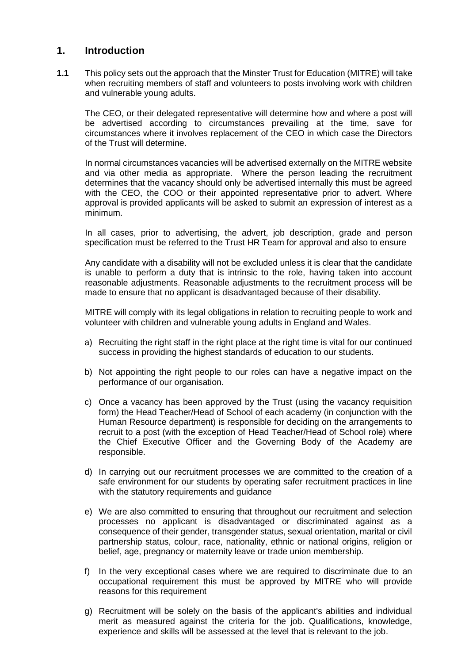#### **1. Introduction**

**1.1** This policy sets out the approach that the Minster Trust for Education (MITRE) will take when recruiting members of staff and volunteers to posts involving work with children and vulnerable young adults.

The CEO, or their delegated representative will determine how and where a post will be advertised according to circumstances prevailing at the time, save for circumstances where it involves replacement of the CEO in which case the Directors of the Trust will determine.

In normal circumstances vacancies will be advertised externally on the MITRE website and via other media as appropriate. Where the person leading the recruitment determines that the vacancy should only be advertised internally this must be agreed with the CEO, the COO or their appointed representative prior to advert. Where approval is provided applicants will be asked to submit an expression of interest as a minimum.

In all cases, prior to advertising, the advert, job description, grade and person specification must be referred to the Trust HR Team for approval and also to ensure

Any candidate with a disability will not be excluded unless it is clear that the candidate is unable to perform a duty that is intrinsic to the role, having taken into account reasonable adjustments. Reasonable adjustments to the recruitment process will be made to ensure that no applicant is disadvantaged because of their disability.

MITRE will comply with its legal obligations in relation to recruiting people to work and volunteer with children and vulnerable young adults in England and Wales.

- a) Recruiting the right staff in the right place at the right time is vital for our continued success in providing the highest standards of education to our students.
- b) Not appointing the right people to our roles can have a negative impact on the performance of our organisation.
- c) Once a vacancy has been approved by the Trust (using the vacancy requisition form) the Head Teacher/Head of School of each academy (in conjunction with the Human Resource department) is responsible for deciding on the arrangements to recruit to a post (with the exception of Head Teacher/Head of School role) where the Chief Executive Officer and the Governing Body of the Academy are responsible.
- d) In carrying out our recruitment processes we are committed to the creation of a safe environment for our students by operating safer recruitment practices in line with the statutory requirements and guidance
- e) We are also committed to ensuring that throughout our recruitment and selection processes no applicant is disadvantaged or discriminated against as a consequence of their gender, transgender status, sexual orientation, marital or civil partnership status, colour, race, nationality, ethnic or national origins, religion or belief, age, pregnancy or maternity leave or trade union membership.
- f) In the very exceptional cases where we are required to discriminate due to an occupational requirement this must be approved by MITRE who will provide reasons for this requirement
- g) Recruitment will be solely on the basis of the applicant's abilities and individual merit as measured against the criteria for the job. Qualifications, knowledge, experience and skills will be assessed at the level that is relevant to the job.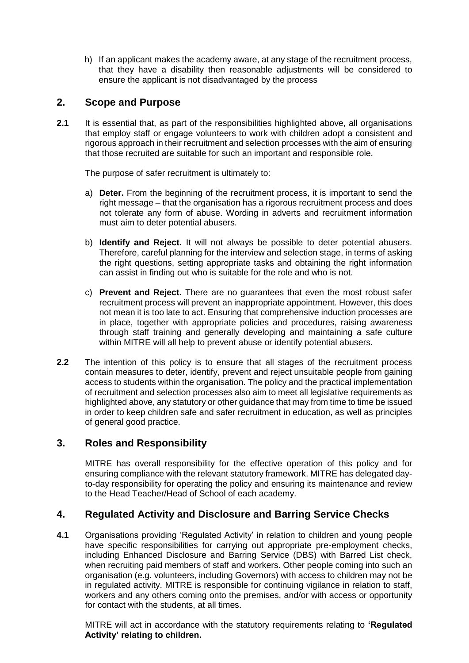h) If an applicant makes the academy aware, at any stage of the recruitment process, that they have a disability then reasonable adjustments will be considered to ensure the applicant is not disadvantaged by the process

## **2. Scope and Purpose**

**2.1** It is essential that, as part of the responsibilities highlighted above, all organisations that employ staff or engage volunteers to work with children adopt a consistent and rigorous approach in their recruitment and selection processes with the aim of ensuring that those recruited are suitable for such an important and responsible role.

The purpose of safer recruitment is ultimately to:

- a) **Deter.** From the beginning of the recruitment process, it is important to send the right message – that the organisation has a rigorous recruitment process and does not tolerate any form of abuse. Wording in adverts and recruitment information must aim to deter potential abusers.
- b) **Identify and Reject.** It will not always be possible to deter potential abusers. Therefore, careful planning for the interview and selection stage, in terms of asking the right questions, setting appropriate tasks and obtaining the right information can assist in finding out who is suitable for the role and who is not.
- c) **Prevent and Reject.** There are no guarantees that even the most robust safer recruitment process will prevent an inappropriate appointment. However, this does not mean it is too late to act. Ensuring that comprehensive induction processes are in place, together with appropriate policies and procedures, raising awareness through staff training and generally developing and maintaining a safe culture within MITRE will all help to prevent abuse or identify potential abusers.
- **2.2** The intention of this policy is to ensure that all stages of the recruitment process contain measures to deter, identify, prevent and reject unsuitable people from gaining access to students within the organisation. The policy and the practical implementation of recruitment and selection processes also aim to meet all legislative requirements as highlighted above, any statutory or other guidance that may from time to time be issued in order to keep children safe and safer recruitment in education, as well as principles of general good practice.

## **3. Roles and Responsibility**

MITRE has overall responsibility for the effective operation of this policy and for ensuring compliance with the relevant statutory framework. MITRE has delegated dayto-day responsibility for operating the policy and ensuring its maintenance and review to the Head Teacher/Head of School of each academy.

## **4. Regulated Activity and Disclosure and Barring Service Checks**

**4.1** Organisations providing 'Regulated Activity' in relation to children and young people have specific responsibilities for carrying out appropriate pre-employment checks, including Enhanced Disclosure and Barring Service (DBS) with Barred List check, when recruiting paid members of staff and workers. Other people coming into such an organisation (e.g. volunteers, including Governors) with access to children may not be in regulated activity. MITRE is responsible for continuing vigilance in relation to staff, workers and any others coming onto the premises, and/or with access or opportunity for contact with the students, at all times.

MITRE will act in accordance with the statutory requirements relating to **'Regulated Activity' relating to children.**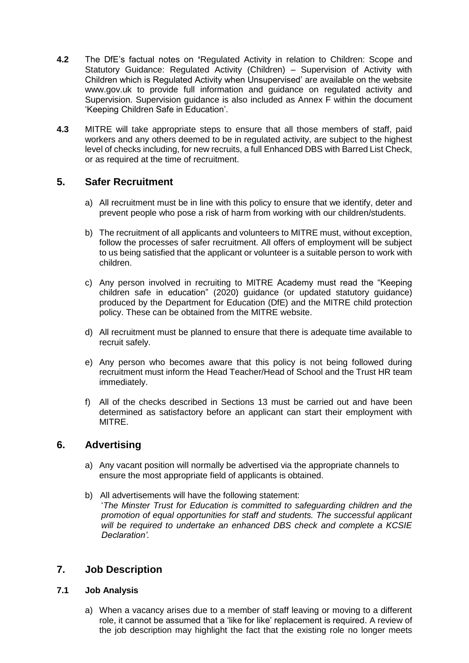- **4.2** The DfE's factual notes on **'**Regulated Activity in relation to Children: Scope and Statutory Guidance: Regulated Activity (Children) – Supervision of Activity with Children which is Regulated Activity when Unsupervised' are available on the website www.gov.uk to provide full information and guidance on regulated activity and Supervision. Supervision guidance is also included as Annex F within the document 'Keeping Children Safe in Education'.
- **4.3** MITRE will take appropriate steps to ensure that all those members of staff, paid workers and any others deemed to be in regulated activity, are subject to the highest level of checks including, for new recruits, a full Enhanced DBS with Barred List Check, or as required at the time of recruitment.

## **5. Safer Recruitment**

- a) All recruitment must be in line with this policy to ensure that we identify, deter and prevent people who pose a risk of harm from working with our children/students.
- b) The recruitment of all applicants and volunteers to MITRE must, without exception, follow the processes of safer recruitment. All offers of employment will be subject to us being satisfied that the applicant or volunteer is a suitable person to work with children.
- c) Any person involved in recruiting to MITRE Academy must read the "Keeping children safe in education" (2020) guidance (or updated statutory guidance) produced by the Department for Education (DfE) and the MITRE child protection policy. These can be obtained from the MITRE website.
- d) All recruitment must be planned to ensure that there is adequate time available to recruit safely.
- e) Any person who becomes aware that this policy is not being followed during recruitment must inform the Head Teacher/Head of School and the Trust HR team immediately.
- f) All of the checks described in Sections 13 must be carried out and have been determined as satisfactory before an applicant can start their employment with MITRE.

## **6. Advertising**

- a) Any vacant position will normally be advertised via the appropriate channels to ensure the most appropriate field of applicants is obtained.
- b) All advertisements will have the following statement: '*The Minster Trust for Education is committed to safeguarding children and the promotion of equal opportunities for staff and students. The successful applicant will be required to undertake an enhanced DBS check and complete a KCSIE Declaration'.*

## **7. Job Description**

#### **7.1 Job Analysis**

a) When a vacancy arises due to a member of staff leaving or moving to a different role, it cannot be assumed that a 'like for like' replacement is required. A review of the job description may highlight the fact that the existing role no longer meets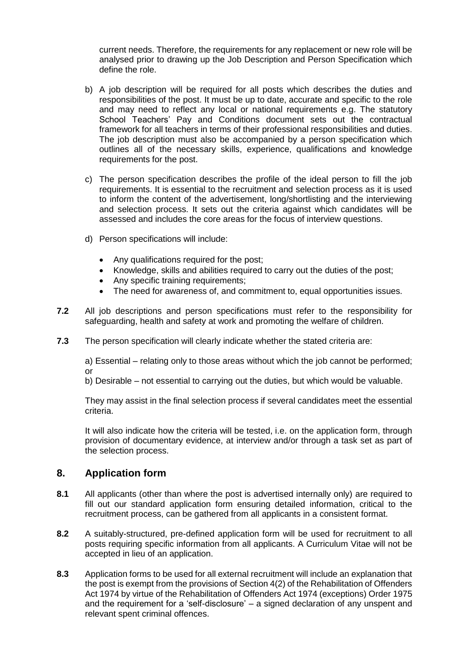current needs. Therefore, the requirements for any replacement or new role will be analysed prior to drawing up the Job Description and Person Specification which define the role.

- b) A job description will be required for all posts which describes the duties and responsibilities of the post. It must be up to date, accurate and specific to the role and may need to reflect any local or national requirements e.g. The statutory School Teachers' Pay and Conditions document sets out the contractual framework for all teachers in terms of their professional responsibilities and duties. The job description must also be accompanied by a person specification which outlines all of the necessary skills, experience, qualifications and knowledge requirements for the post.
- c) The person specification describes the profile of the ideal person to fill the job requirements. It is essential to the recruitment and selection process as it is used to inform the content of the advertisement, long/shortlisting and the interviewing and selection process. It sets out the criteria against which candidates will be assessed and includes the core areas for the focus of interview questions.
- d) Person specifications will include:
	- Any qualifications required for the post;
	- Knowledge, skills and abilities required to carry out the duties of the post;
	- Any specific training requirements;
	- The need for awareness of, and commitment to, equal opportunities issues.
- **7.2** All job descriptions and person specifications must refer to the responsibility for safeguarding, health and safety at work and promoting the welfare of children.
- **7.3** The person specification will clearly indicate whether the stated criteria are:

a) Essential – relating only to those areas without which the job cannot be performed; or

b) Desirable – not essential to carrying out the duties, but which would be valuable.

They may assist in the final selection process if several candidates meet the essential criteria.

It will also indicate how the criteria will be tested, i.e. on the application form, through provision of documentary evidence, at interview and/or through a task set as part of the selection process.

## **8. Application form**

- **8.1** All applicants (other than where the post is advertised internally only) are required to fill out our standard application form ensuring detailed information, critical to the recruitment process, can be gathered from all applicants in a consistent format.
- **8.2** A suitably-structured, pre-defined application form will be used for recruitment to all posts requiring specific information from all applicants. A Curriculum Vitae will not be accepted in lieu of an application.
- **8.3** Application forms to be used for all external recruitment will include an explanation that the post is exempt from the provisions of Section 4(2) of the Rehabilitation of Offenders Act 1974 by virtue of the Rehabilitation of Offenders Act 1974 (exceptions) Order 1975 and the requirement for a 'self-disclosure' – a signed declaration of any unspent and relevant spent criminal offences.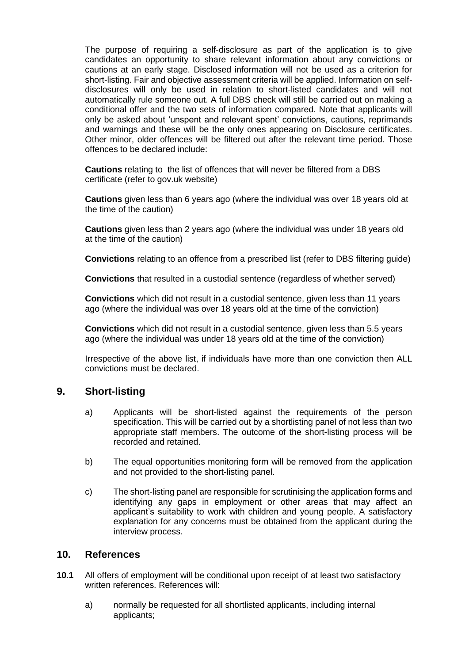The purpose of requiring a self-disclosure as part of the application is to give candidates an opportunity to share relevant information about any convictions or cautions at an early stage. Disclosed information will not be used as a criterion for short-listing. Fair and objective assessment criteria will be applied. Information on selfdisclosures will only be used in relation to short-listed candidates and will not automatically rule someone out. A full DBS check will still be carried out on making a conditional offer and the two sets of information compared. Note that applicants will only be asked about 'unspent and relevant spent' convictions, cautions, reprimands and warnings and these will be the only ones appearing on Disclosure certificates. Other minor, older offences will be filtered out after the relevant time period. Those offences to be declared include:

**Cautions** relating to the list of offences that will never be filtered from a DBS certificate (refer to gov.uk website)

**Cautions** given less than 6 years ago (where the individual was over 18 years old at the time of the caution)

**Cautions** given less than 2 years ago (where the individual was under 18 years old at the time of the caution)

**Convictions** relating to an offence from a prescribed list (refer to DBS filtering guide)

**Convictions** that resulted in a custodial sentence (regardless of whether served)

**Convictions** which did not result in a custodial sentence, given less than 11 years ago (where the individual was over 18 years old at the time of the conviction)

**Convictions** which did not result in a custodial sentence, given less than 5.5 years ago (where the individual was under 18 years old at the time of the conviction)

Irrespective of the above list, if individuals have more than one conviction then ALL convictions must be declared.

#### **9. Short-listing**

- a) Applicants will be short-listed against the requirements of the person specification. This will be carried out by a shortlisting panel of not less than two appropriate staff members. The outcome of the short-listing process will be recorded and retained.
- b) The equal opportunities monitoring form will be removed from the application and not provided to the short-listing panel.
- c) The short-listing panel are responsible for scrutinising the application forms and identifying any gaps in employment or other areas that may affect an applicant's suitability to work with children and young people. A satisfactory explanation for any concerns must be obtained from the applicant during the interview process.

#### **10. References**

- **10.1** All offers of employment will be conditional upon receipt of at least two satisfactory written references. References will:
	- a) normally be requested for all shortlisted applicants, including internal applicants;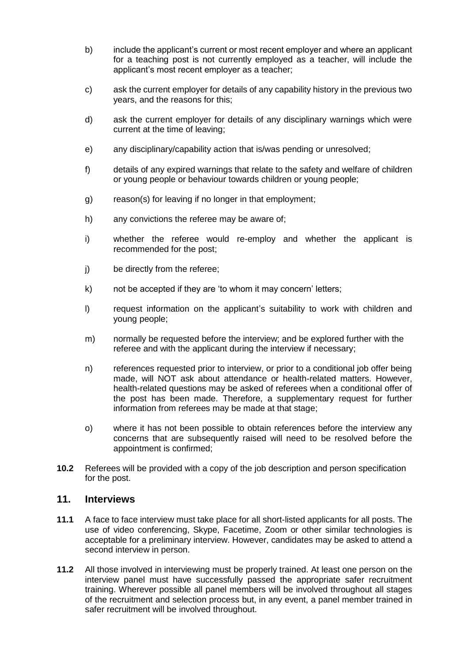- b) include the applicant's current or most recent employer and where an applicant for a teaching post is not currently employed as a teacher, will include the applicant's most recent employer as a teacher;
- c) ask the current employer for details of any capability history in the previous two years, and the reasons for this;
- d) ask the current employer for details of any disciplinary warnings which were current at the time of leaving;
- e) any disciplinary/capability action that is/was pending or unresolved;
- f) details of any expired warnings that relate to the safety and welfare of children or young people or behaviour towards children or young people;
- g) reason(s) for leaving if no longer in that employment;
- h) any convictions the referee may be aware of;
- i) whether the referee would re-employ and whether the applicant is recommended for the post;
- j) be directly from the referee;
- k) not be accepted if they are 'to whom it may concern' letters;
- l) request information on the applicant's suitability to work with children and young people;
- m) normally be requested before the interview; and be explored further with the referee and with the applicant during the interview if necessary;
- n) references requested prior to interview, or prior to a conditional job offer being made, will NOT ask about attendance or health-related matters. However, health-related questions may be asked of referees when a conditional offer of the post has been made. Therefore, a supplementary request for further information from referees may be made at that stage;
- o) where it has not been possible to obtain references before the interview any concerns that are subsequently raised will need to be resolved before the appointment is confirmed;
- **10.2** Referees will be provided with a copy of the job description and person specification for the post.

#### **11. Interviews**

- **11.1** A face to face interview must take place for all short-listed applicants for all posts. The use of video conferencing, Skype, Facetime, Zoom or other similar technologies is acceptable for a preliminary interview. However, candidates may be asked to attend a second interview in person.
- **11.2** All those involved in interviewing must be properly trained. At least one person on the interview panel must have successfully passed the appropriate safer recruitment training. Wherever possible all panel members will be involved throughout all stages of the recruitment and selection process but, in any event, a panel member trained in safer recruitment will be involved throughout.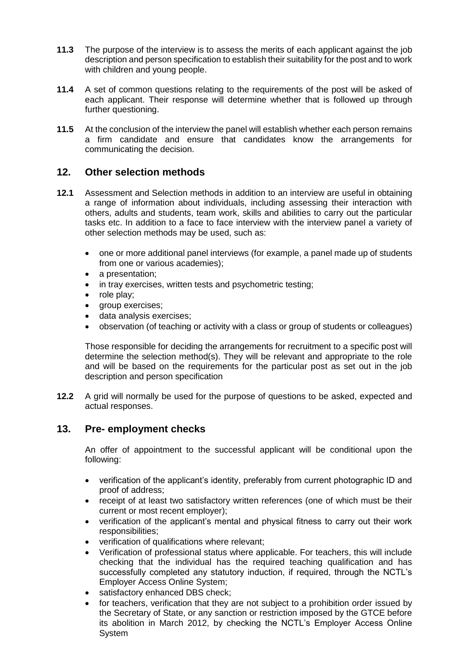- **11.3** The purpose of the interview is to assess the merits of each applicant against the job description and person specification to establish their suitability for the post and to work with children and young people.
- **11.4** A set of common questions relating to the requirements of the post will be asked of each applicant. Their response will determine whether that is followed up through further questioning.
- **11.5** At the conclusion of the interview the panel will establish whether each person remains a firm candidate and ensure that candidates know the arrangements for communicating the decision.

## **12. Other selection methods**

- **12.1** Assessment and Selection methods in addition to an interview are useful in obtaining a range of information about individuals, including assessing their interaction with others, adults and students, team work, skills and abilities to carry out the particular tasks etc. In addition to a face to face interview with the interview panel a variety of other selection methods may be used, such as:
	- one or more additional panel interviews (for example, a panel made up of students from one or various academies);
	- a presentation:
	- in tray exercises, written tests and psychometric testing;
	- role play;
	- group exercises;
	- data analysis exercises;
	- observation (of teaching or activity with a class or group of students or colleagues)

Those responsible for deciding the arrangements for recruitment to a specific post will determine the selection method(s). They will be relevant and appropriate to the role and will be based on the requirements for the particular post as set out in the job description and person specification

**12.2** A grid will normally be used for the purpose of questions to be asked, expected and actual responses.

#### **13. Pre- employment checks**

An offer of appointment to the successful applicant will be conditional upon the following:

- verification of the applicant's identity, preferably from current photographic ID and proof of address;
- receipt of at least two satisfactory written references (one of which must be their current or most recent employer);
- verification of the applicant's mental and physical fitness to carry out their work responsibilities;
- verification of qualifications where relevant;
- Verification of professional status where applicable. For teachers, this will include checking that the individual has the required teaching qualification and has successfully completed any statutory induction, if required, through the NCTL's Employer Access Online System;
- satisfactory enhanced DBS check;
- for teachers, verification that they are not subject to a prohibition order issued by the Secretary of State, or any sanction or restriction imposed by the GTCE before its abolition in March 2012, by checking the NCTL's Employer Access Online System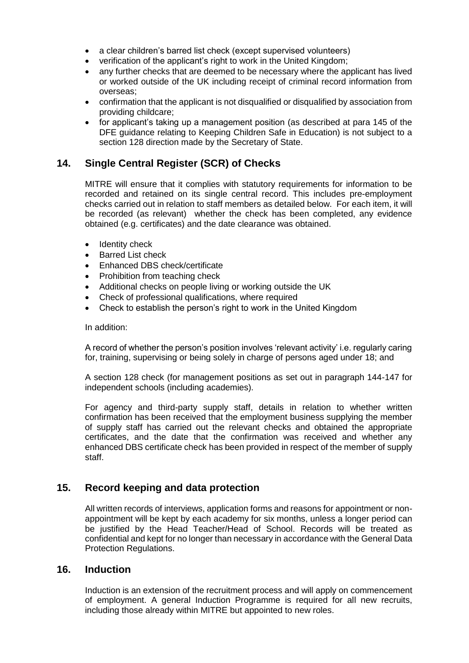- a clear children's barred list check (except supervised volunteers)
- verification of the applicant's right to work in the United Kingdom;
- any further checks that are deemed to be necessary where the applicant has lived or worked outside of the UK including receipt of criminal record information from overseas;
- confirmation that the applicant is not disqualified or disqualified by association from providing childcare;
- for applicant's taking up a management position (as described at para 145 of the DFE guidance relating to Keeping Children Safe in Education) is not subject to a section 128 direction made by the Secretary of State.

#### **14. Single Central Register (SCR) of Checks**

MITRE will ensure that it complies with statutory requirements for information to be recorded and retained on its single central record. This includes pre-employment checks carried out in relation to staff members as detailed below. For each item, it will be recorded (as relevant) whether the check has been completed, any evidence obtained (e.g. certificates) and the date clearance was obtained.

- Identity check
- Barred List check
- Enhanced DBS check/certificate
- Prohibition from teaching check
- Additional checks on people living or working outside the UK
- Check of professional qualifications, where required
- Check to establish the person's right to work in the United Kingdom

#### In addition:

A record of whether the person's position involves 'relevant activity' i.e. regularly caring for, training, supervising or being solely in charge of persons aged under 18; and

A section 128 check (for management positions as set out in paragraph 144-147 for independent schools (including academies).

For agency and third-party supply staff, details in relation to whether written confirmation has been received that the employment business supplying the member of supply staff has carried out the relevant checks and obtained the appropriate certificates, and the date that the confirmation was received and whether any enhanced DBS certificate check has been provided in respect of the member of supply staff.

#### **15. Record keeping and data protection**

All written records of interviews, application forms and reasons for appointment or nonappointment will be kept by each academy for six months, unless a longer period can be justified by the Head Teacher/Head of School. Records will be treated as confidential and kept for no longer than necessary in accordance with the General Data Protection Regulations.

#### **16. Induction**

Induction is an extension of the recruitment process and will apply on commencement of employment. A general Induction Programme is required for all new recruits, including those already within MITRE but appointed to new roles.